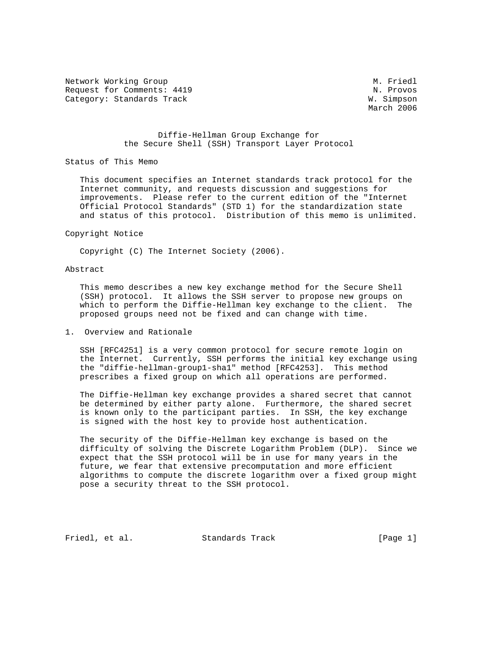Network Working Group and Month of the Music Contract of Music Contract of Music Contract Oriental Music Contract Oriental Music Contract Oriental Music Contract Oriental Music Contract Oriental Music Contract Oriental Mus Request for Comments: 4419 N. Provos Category: Standards Track W. Simpson

March 2006

# Diffie-Hellman Group Exchange for the Secure Shell (SSH) Transport Layer Protocol

Status of This Memo

 This document specifies an Internet standards track protocol for the Internet community, and requests discussion and suggestions for improvements. Please refer to the current edition of the "Internet Official Protocol Standards" (STD 1) for the standardization state and status of this protocol. Distribution of this memo is unlimited.

#### Copyright Notice

Copyright (C) The Internet Society (2006).

# Abstract

 This memo describes a new key exchange method for the Secure Shell (SSH) protocol. It allows the SSH server to propose new groups on which to perform the Diffie-Hellman key exchange to the client. The proposed groups need not be fixed and can change with time.

# 1. Overview and Rationale

 SSH [RFC4251] is a very common protocol for secure remote login on the Internet. Currently, SSH performs the initial key exchange using the "diffie-hellman-group1-sha1" method [RFC4253]. This method prescribes a fixed group on which all operations are performed.

 The Diffie-Hellman key exchange provides a shared secret that cannot be determined by either party alone. Furthermore, the shared secret is known only to the participant parties. In SSH, the key exchange is signed with the host key to provide host authentication.

 The security of the Diffie-Hellman key exchange is based on the difficulty of solving the Discrete Logarithm Problem (DLP). Since we expect that the SSH protocol will be in use for many years in the future, we fear that extensive precomputation and more efficient algorithms to compute the discrete logarithm over a fixed group might pose a security threat to the SSH protocol.

Friedl, et al. Standards Track [Page 1]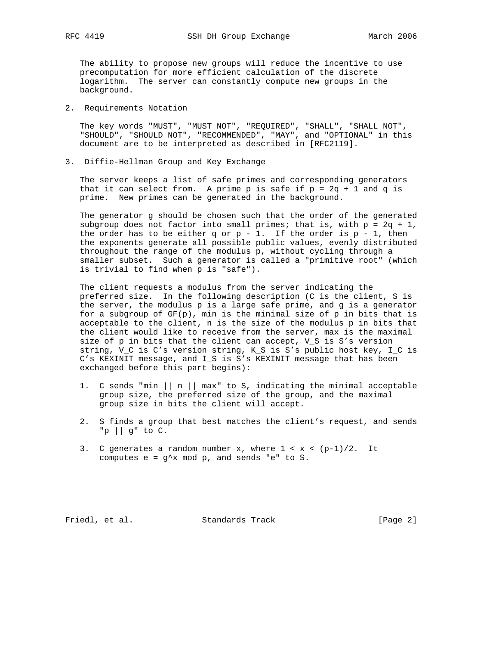The ability to propose new groups will reduce the incentive to use precomputation for more efficient calculation of the discrete logarithm. The server can constantly compute new groups in the background.

2. Requirements Notation

 The key words "MUST", "MUST NOT", "REQUIRED", "SHALL", "SHALL NOT", "SHOULD", "SHOULD NOT", "RECOMMENDED", "MAY", and "OPTIONAL" in this document are to be interpreted as described in [RFC2119].

3. Diffie-Hellman Group and Key Exchange

 The server keeps a list of safe primes and corresponding generators that it can select from. A prime p is safe if  $p = 2q + 1$  and q is prime. New primes can be generated in the background.

 The generator g should be chosen such that the order of the generated subgroup does not factor into small primes; that is, with  $p = 2q + 1$ , the order has to be either q or  $p - 1$ . If the order is  $p - 1$ , then the exponents generate all possible public values, evenly distributed throughout the range of the modulus p, without cycling through a smaller subset. Such a generator is called a "primitive root" (which is trivial to find when p is "safe").

 The client requests a modulus from the server indicating the preferred size. In the following description (C is the client, S is the server, the modulus p is a large safe prime, and g is a generator for a subgroup of  $GF(p)$ , min is the minimal size of p in bits that is acceptable to the client, n is the size of the modulus p in bits that the client would like to receive from the server, max is the maximal size of p in bits that the client can accept, V\_S is S's version string, V\_C is C's version string, K\_S is S's public host key, I\_C is C's KEXINIT message, and I\_S is S's KEXINIT message that has been exchanged before this part begins):

- 1. C sends "min  $||n||$  max" to S, indicating the minimal acceptable group size, the preferred size of the group, and the maximal group size in bits the client will accept.
- 2. S finds a group that best matches the client's request, and sends "p || g" to C.
- 3. C generates a random number x, where  $1 < x < (p-1)/2$ . It computes  $e = g^x$  mod  $p$ , and sends "e" to S.

Friedl, et al. Standards Track [Page 2]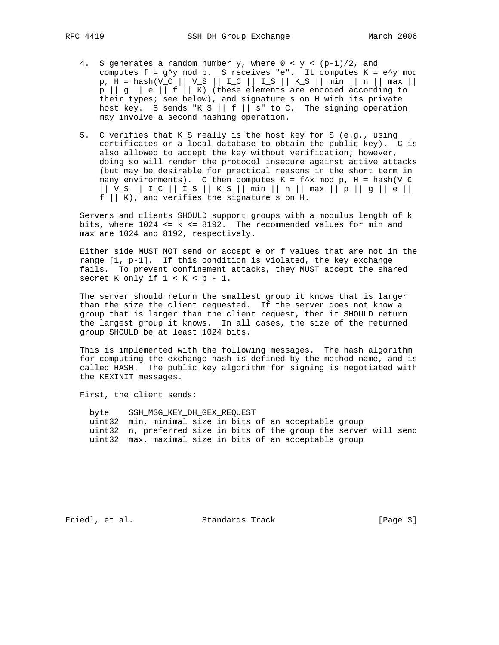- 4. S generates a random number y, where  $0 < y < (p-1)/2$ , and computes  $f = g^{\wedge}y$  mod p. S receives "e". It computes  $K = e^{\wedge}y$  mod p, H = hash(V\_C || V\_S || I\_C || I\_S || K\_S || min || n || max || p || g || e || f || K) (these elements are encoded according to their types; see below), and signature s on H with its private host key. S sends "K\_S || f || s" to C. The signing operation may involve a second hashing operation.
	- 5. C verifies that K\_S really is the host key for S (e.g., using certificates or a local database to obtain the public key). C is also allowed to accept the key without verification; however, doing so will render the protocol insecure against active attacks (but may be desirable for practical reasons in the short term in many environments). C then computes  $K = f^*x$  mod p, H = hash(V\_C || V\_S || I\_C || I\_S || K\_S || min || n || max || p || g || e ||  $f \mid | K$ , and verifies the signature s on H.

 Servers and clients SHOULD support groups with a modulus length of k bits, where  $1024 \le k \le 8192$ . The recommended values for min and max are 1024 and 8192, respectively.

 Either side MUST NOT send or accept e or f values that are not in the range [1, p-1]. If this condition is violated, the key exchange fails. To prevent confinement attacks, they MUST accept the shared secret K only if  $1 < K < p - 1$ .

 The server should return the smallest group it knows that is larger than the size the client requested. If the server does not know a group that is larger than the client request, then it SHOULD return the largest group it knows. In all cases, the size of the returned group SHOULD be at least 1024 bits.

 This is implemented with the following messages. The hash algorithm for computing the exchange hash is defined by the method name, and is called HASH. The public key algorithm for signing is negotiated with the KEXINIT messages.

First, the client sends:

 byte SSH\_MSG\_KEY\_DH\_GEX\_REQUEST uint32 min, minimal size in bits of an acceptable group uint32 n, preferred size in bits of the group the server will send uint32 max, maximal size in bits of an acceptable group

Friedl, et al. Standards Track [Page 3]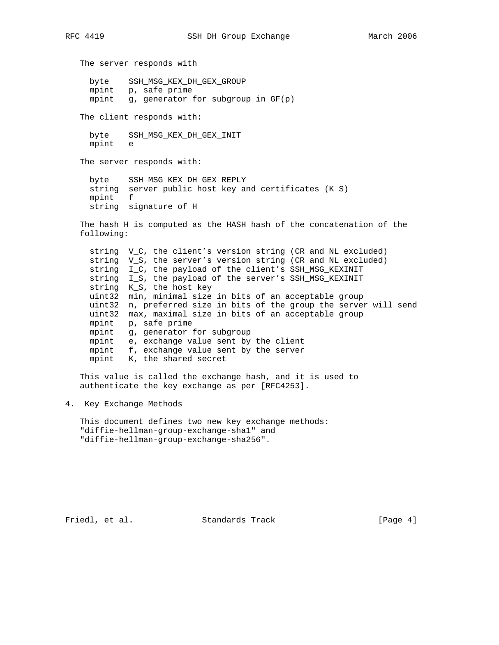The server responds with byte SSH\_MSG\_KEX\_DH\_GEX\_GROUP mpint p, safe prime mpint g, generator for subgroup in GF(p) The client responds with: byte SSH\_MSG\_KEX\_DH\_GEX\_INIT mpint e The server responds with: byte SSH\_MSG\_KEX\_DH\_GEX\_REPLY string server public host key and certificates (K\_S) mpint f string signature of H The hash H is computed as the HASH hash of the concatenation of the following: string V\_C, the client's version string (CR and NL excluded) string V\_S, the server's version string (CR and NL excluded) string I\_C, the payload of the client's SSH\_MSG\_KEXINIT string I\_S, the payload of the server's SSH\_MSG\_KEXINIT string K\_S, the host key uint32 min, minimal size in bits of an acceptable group uint32 n, preferred size in bits of the group the server will send uint32 max, maximal size in bits of an acceptable group mpint p, safe prime mpint g, generator for subgroup mpint e, exchange value sent by the client mpint f, exchange value sent by the server mpint K, the shared secret This value is called the exchange hash, and it is used to authenticate the key exchange as per [RFC4253].

4. Key Exchange Methods

 This document defines two new key exchange methods: "diffie-hellman-group-exchange-sha1" and "diffie-hellman-group-exchange-sha256".

Friedl, et al. Standards Track [Page 4]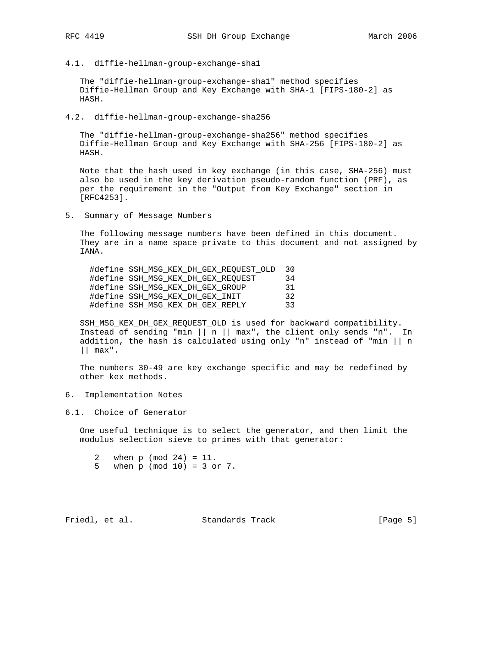4.1. diffie-hellman-group-exchange-sha1

 The "diffie-hellman-group-exchange-sha1" method specifies Diffie-Hellman Group and Key Exchange with SHA-1 [FIPS-180-2] as HASH.

4.2. diffie-hellman-group-exchange-sha256

 The "diffie-hellman-group-exchange-sha256" method specifies Diffie-Hellman Group and Key Exchange with SHA-256 [FIPS-180-2] as HASH.

 Note that the hash used in key exchange (in this case, SHA-256) must also be used in the key derivation pseudo-random function (PRF), as per the requirement in the "Output from Key Exchange" section in [RFC4253].

5. Summary of Message Numbers

 The following message numbers have been defined in this document. They are in a name space private to this document and not assigned by IANA.

 #define SSH\_MSG\_KEX\_DH\_GEX\_REQUEST\_OLD 30 #define SSH\_MSG\_KEX\_DH\_GEX\_REQUEST 34<br>#define SSH MSG\_KEX\_DH\_GEX\_GROUP 31 #define SSH\_MSG\_KEX\_DH\_GEX\_GROUP 31 #define SSH\_MSG\_KEX\_DH\_GEX\_INIT 32 #define SSH\_MSG\_KEX\_DH\_GEX\_REPLY 33

 SSH\_MSG\_KEX\_DH\_GEX\_REQUEST\_OLD is used for backward compatibility. Instead of sending "min  $||n||$  max", the client only sends "n". In addition, the hash is calculated using only "n" instead of "min || n || max".

 The numbers 30-49 are key exchange specific and may be redefined by other kex methods.

6. Implementation Notes

6.1. Choice of Generator

 One useful technique is to select the generator, and then limit the modulus selection sieve to primes with that generator:

- 2 when p (mod 24) = 11.
- 5 when p (mod 10) = 3 or 7.

Friedl, et al. Standards Track [Page 5]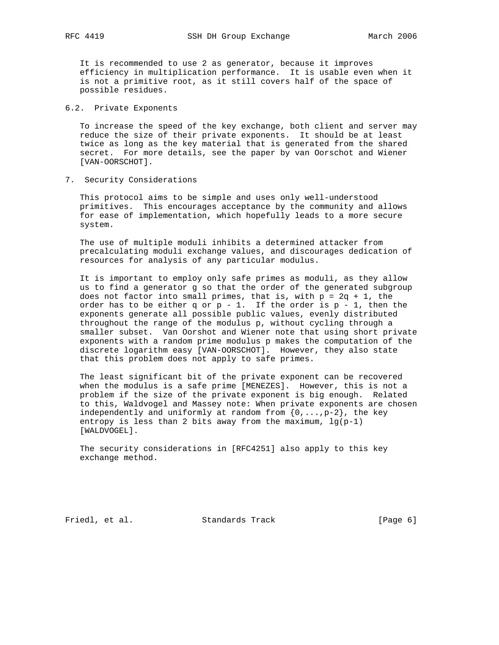It is recommended to use 2 as generator, because it improves efficiency in multiplication performance. It is usable even when it is not a primitive root, as it still covers half of the space of possible residues.

# 6.2. Private Exponents

 To increase the speed of the key exchange, both client and server may reduce the size of their private exponents. It should be at least twice as long as the key material that is generated from the shared secret. For more details, see the paper by van Oorschot and Wiener [VAN-OORSCHOT].

7. Security Considerations

 This protocol aims to be simple and uses only well-understood primitives. This encourages acceptance by the community and allows for ease of implementation, which hopefully leads to a more secure system.

 The use of multiple moduli inhibits a determined attacker from precalculating moduli exchange values, and discourages dedication of resources for analysis of any particular modulus.

 It is important to employ only safe primes as moduli, as they allow us to find a generator g so that the order of the generated subgroup does not factor into small primes, that is, with  $p = 2q + 1$ , the order has to be either q or  $p - 1$ . If the order is  $p - 1$ , then the exponents generate all possible public values, evenly distributed throughout the range of the modulus p, without cycling through a smaller subset. Van Oorshot and Wiener note that using short private exponents with a random prime modulus p makes the computation of the discrete logarithm easy [VAN-OORSCHOT]. However, they also state that this problem does not apply to safe primes.

 The least significant bit of the private exponent can be recovered when the modulus is a safe prime [MENEZES]. However, this is not a problem if the size of the private exponent is big enough. Related to this, Waldvogel and Massey note: When private exponents are chosen independently and uniformly at random from  $\{0,\ldots,p-2\}$ , the key entropy is less than 2 bits away from the maximum,  $\lg(p-1)$ [WALDVOGEL].

 The security considerations in [RFC4251] also apply to this key exchange method.

Friedl, et al. Standards Track [Page 6]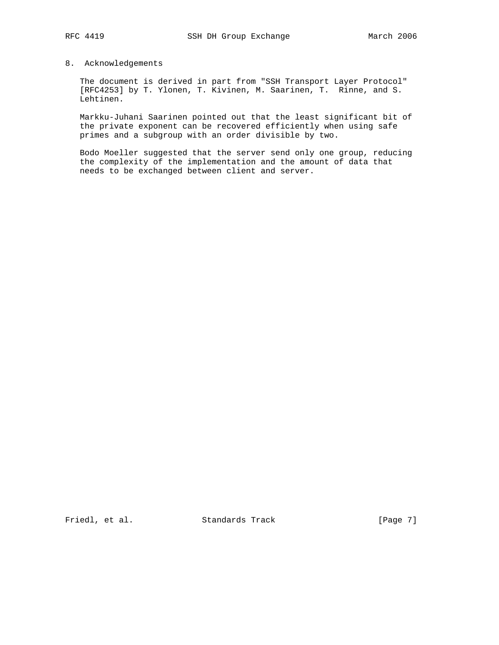# 8. Acknowledgements

 The document is derived in part from "SSH Transport Layer Protocol" [RFC4253] by T. Ylonen, T. Kivinen, M. Saarinen, T. Rinne, and S. Lehtinen.

 Markku-Juhani Saarinen pointed out that the least significant bit of the private exponent can be recovered efficiently when using safe primes and a subgroup with an order divisible by two.

 Bodo Moeller suggested that the server send only one group, reducing the complexity of the implementation and the amount of data that needs to be exchanged between client and server.

Friedl, et al. Standards Track [Page 7]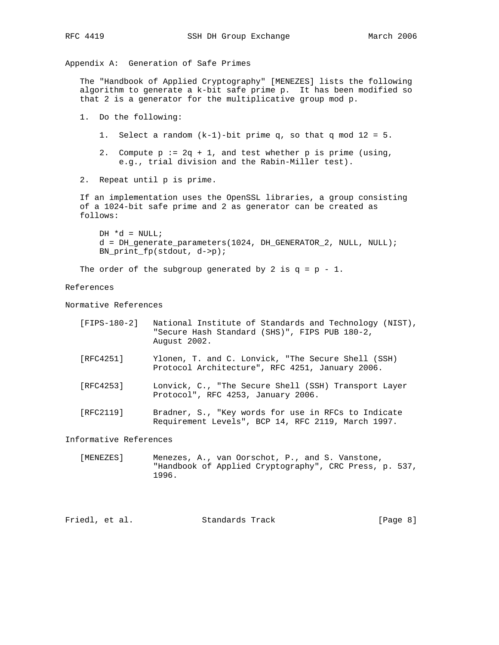Appendix A: Generation of Safe Primes

 The "Handbook of Applied Cryptography" [MENEZES] lists the following algorithm to generate a k-bit safe prime p. It has been modified so that 2 is a generator for the multiplicative group mod p.

1. Do the following:

1. Select a random  $(k-1)$ -bit prime q, so that q mod  $12 = 5$ .

2. Compute  $p := 2q + 1$ , and test whether  $p$  is prime (using, e.g., trial division and the Rabin-Miller test).

2. Repeat until p is prime.

 If an implementation uses the OpenSSL libraries, a group consisting of a 1024-bit safe prime and 2 as generator can be created as follows:

 $DH *d = NULL;$  d = DH\_generate\_parameters(1024, DH\_GENERATOR\_2, NULL, NULL); BN\_print\_fp(stdout, d->p);

The order of the subgroup generated by 2 is  $q = p - 1$ .

References

Normative References

| [FIPS-180-2] |              | National Institute of Standards and Technology (NIST), |  |
|--------------|--------------|--------------------------------------------------------|--|
|              |              | "Secure Hash Standard (SHS)", FIPS PUB 180-2,          |  |
|              | August 2002. |                                                        |  |

- [RFC4251] Ylonen, T. and C. Lonvick, "The Secure Shell (SSH) Protocol Architecture", RFC 4251, January 2006.
- [RFC4253] Lonvick, C., "The Secure Shell (SSH) Transport Layer Protocol", RFC 4253, January 2006.
- [RFC2119] Bradner, S., "Key words for use in RFCs to Indicate Requirement Levels", BCP 14, RFC 2119, March 1997.

Informative References

 [MENEZES] Menezes, A., van Oorschot, P., and S. Vanstone, "Handbook of Applied Cryptography", CRC Press, p. 537, 1996.

Friedl, et al. Standards Track [Page 8]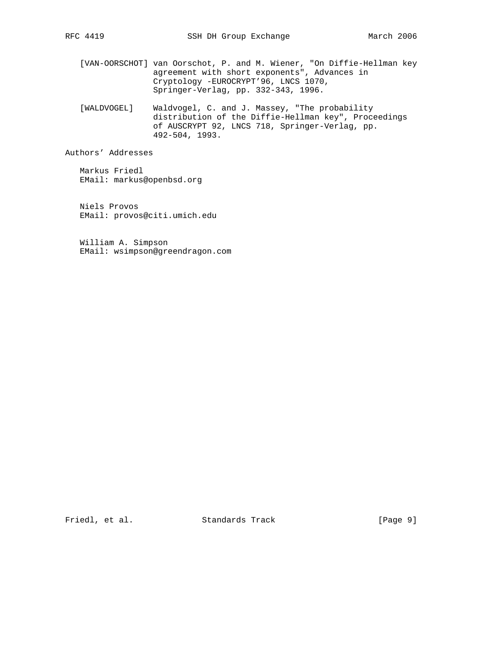- [VAN-OORSCHOT] van Oorschot, P. and M. Wiener, "On Diffie-Hellman key agreement with short exponents", Advances in Cryptology -EUROCRYPT'96, LNCS 1070, Springer-Verlag, pp. 332-343, 1996.
	- [WALDVOGEL] Waldvogel, C. and J. Massey, "The probability distribution of the Diffie-Hellman key", Proceedings of AUSCRYPT 92, LNCS 718, Springer-Verlag, pp. 492-504, 1993.

Authors' Addresses

 Markus Friedl EMail: markus@openbsd.org

 Niels Provos EMail: provos@citi.umich.edu

 William A. Simpson EMail: wsimpson@greendragon.com

Friedl, et al. Standards Track [Page 9]